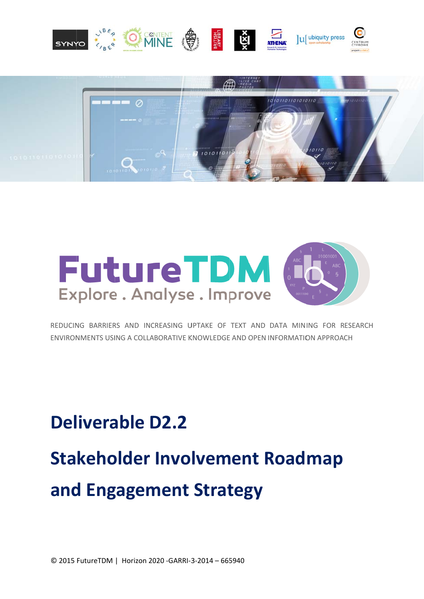





REDUCING BARRIERS AND INCREASING UPTAKE OF TEXT AND DATA MINING FOR RESEARCH ENVIRONMENTS USING A COLLABORATIVE KNOWLEDGE AND OPEN INFORMATION APPROACH

# **Deliverable D2.2 Stakeholder Involvement Roadmap** and Engagement Strategy

© 2015 FutureTDM | Horizon 2020 - GARRI-3-2014 - 665940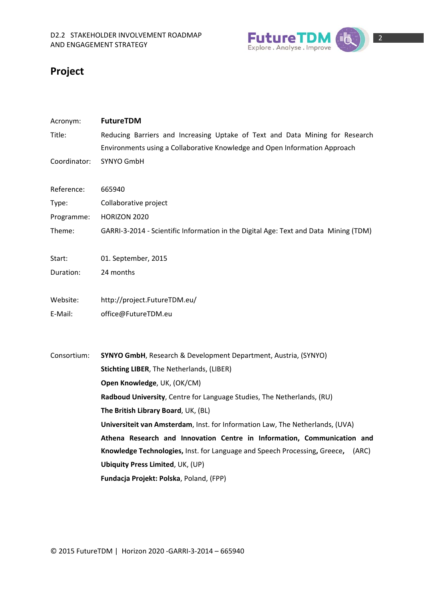

# **Project**

| Acronym:     | <b>FutureTDM</b>                                                                     |
|--------------|--------------------------------------------------------------------------------------|
| Title:       | Reducing Barriers and Increasing Uptake of Text and Data Mining for Research         |
|              | Environments using a Collaborative Knowledge and Open Information Approach           |
| Coordinator: | SYNYO GmbH                                                                           |
|              |                                                                                      |
| Reference:   | 665940                                                                               |
| Type:        | Collaborative project                                                                |
| Programme:   | HORIZON 2020                                                                         |
| Theme:       | GARRI-3-2014 - Scientific Information in the Digital Age: Text and Data Mining (TDM) |
| Start:       | 01. September, 2015                                                                  |
| Duration:    | 24 months                                                                            |
| Website:     | http://project.FutureTDM.eu/                                                         |
| E-Mail:      | office@FutureTDM.eu                                                                  |
|              |                                                                                      |
| Consortium:  | <b>SYNYO GmbH, Research &amp; Development Department, Austria, (SYNYO)</b>           |
|              | <b>Stichting LIBER, The Netherlands, (LIBER)</b>                                     |
|              | Open Knowledge, UK, (OK/CM)                                                          |
|              | Radboud University, Centre for Language Studies, The Netherlands, (RU)               |
|              | The British Library Board, UK, (BL)                                                  |
|              | Universiteit van Amsterdam, Inst. for Information Law, The Netherlands, (UVA)        |
|              | Athena Research and Innovation Centre in Information, Communication and              |
|              | Knowledge Technologies, Inst. for Language and Speech Processing, Greece,<br>(ARC)   |
|              | <b>Ubiquity Press Limited, UK, (UP)</b>                                              |
|              | Fundacja Projekt: Polska, Poland, (FPP)                                              |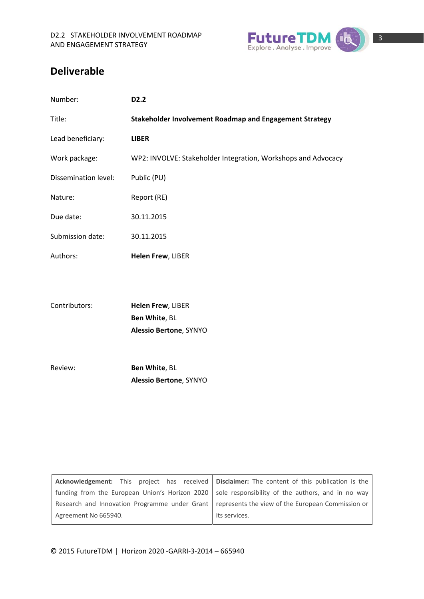

## **Deliverable**

| Number:              | D <sub>2</sub> .2                                             |
|----------------------|---------------------------------------------------------------|
| Title:               | Stakeholder Involvement Roadmap and Engagement Strategy       |
| Lead beneficiary:    | <b>LIBER</b>                                                  |
| Work package:        | WP2: INVOLVE: Stakeholder Integration, Workshops and Advocacy |
| Dissemination level: | Public (PU)                                                   |
| Nature:              | Report (RE)                                                   |
| Due date:            | 30.11.2015                                                    |
| Submission date:     | 30.11.2015                                                    |
| Authors:             | Helen Frew, LIBER                                             |
|                      |                                                               |
| Contributors:        | Helen Frew, LIBER                                             |
|                      | Ben White, BL                                                 |
|                      | Alessio Bertone, SYNYO                                        |
|                      |                                                               |
| Review:              | Ben White, BL                                                 |
|                      | Alessio Bertone, SYNYO                                        |
|                      |                                                               |
|                      |                                                               |
|                      |                                                               |
|                      |                                                               |

|                      | Acknowledgement: This project has received   Disclaimer: The content of this publication is the    |
|----------------------|----------------------------------------------------------------------------------------------------|
|                      | funding from the European Union's Horizon 2020   sole responsibility of the authors, and in no way |
|                      | Research and Innovation Programme under Grant   represents the view of the European Commission or  |
| Agreement No 665940. | its services.                                                                                      |
|                      |                                                                                                    |

© 2015 FutureTDM | Horizon 2020 ‐GARRI‐3‐2014 – 665940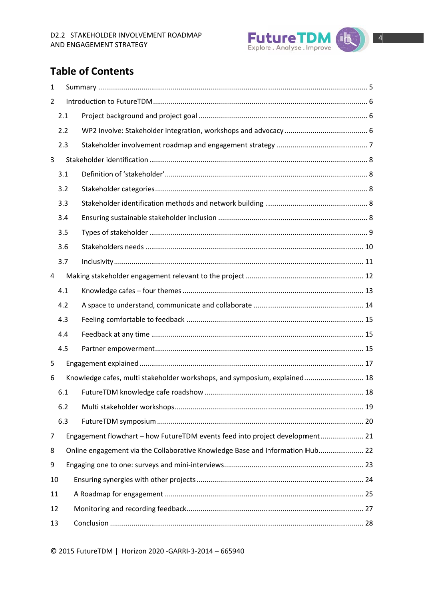

# **Table of Contents**

| 1              |     |                                                                               |  |
|----------------|-----|-------------------------------------------------------------------------------|--|
| $\overline{2}$ |     |                                                                               |  |
|                | 2.1 |                                                                               |  |
|                | 2.2 |                                                                               |  |
|                | 2.3 |                                                                               |  |
| 3              |     |                                                                               |  |
|                | 3.1 |                                                                               |  |
|                | 3.2 |                                                                               |  |
|                | 3.3 |                                                                               |  |
|                | 3.4 |                                                                               |  |
|                | 3.5 |                                                                               |  |
|                | 3.6 |                                                                               |  |
|                | 3.7 |                                                                               |  |
| 4              |     |                                                                               |  |
|                | 4.1 |                                                                               |  |
|                | 4.2 |                                                                               |  |
|                | 4.3 |                                                                               |  |
|                | 4.4 |                                                                               |  |
|                | 4.5 |                                                                               |  |
| 5              |     |                                                                               |  |
| 6              |     | Knowledge cafes, multi stakeholder workshops, and symposium, explained 18     |  |
|                | 6.1 |                                                                               |  |
|                | 6.2 |                                                                               |  |
|                | 6.3 |                                                                               |  |
| 7              |     | Engagement flowchart - how FutureTDM events feed into project development 21  |  |
| 8              |     | Online engagement via the Collaborative Knowledge Base and Information Hub 22 |  |
| 9              |     |                                                                               |  |
| 10             |     |                                                                               |  |
| 11             |     |                                                                               |  |
| 12             |     |                                                                               |  |
| 13             |     |                                                                               |  |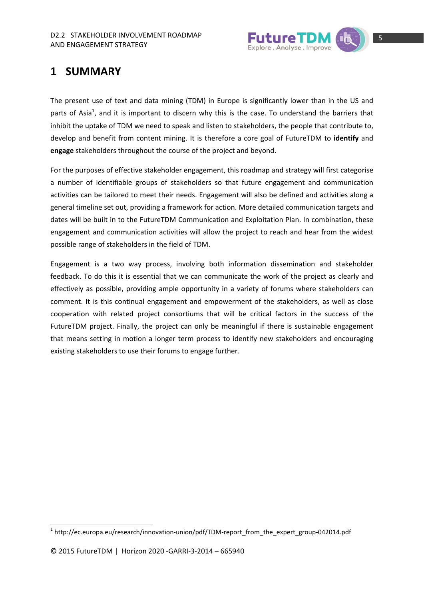

# **1 SUMMARY**

The present use of text and data mining (TDM) in Europe is significantly lower than in the US and parts of Asia<sup>1</sup>, and it is important to discern why this is the case. To understand the barriers that inhibit the uptake of TDM we need to speak and listen to stakeholders, the people that contribute to, develop and benefit from content mining. It is therefore a core goal of FutureTDM to **identify** and **engage** stakeholders throughout the course of the project and beyond.

For the purposes of effective stakeholder engagement, this roadmap and strategy will first categorise a number of identifiable groups of stakeholders so that future engagement and communication activities can be tailored to meet their needs. Engagement will also be defined and activities along a general timeline set out, providing a framework for action. More detailed communication targets and dates will be built in to the FutureTDM Communication and Exploitation Plan. In combination, these engagement and communication activities will allow the project to reach and hear from the widest possible range of stakeholders in the field of TDM.

Engagement is a two way process, involving both information dissemination and stakeholder feedback. To do this it is essential that we can communicate the work of the project as clearly and effectively as possible, providing ample opportunity in a variety of forums where stakeholders can comment. It is this continual engagement and empowerment of the stakeholders, as well as close cooperation with related project consortiums that will be critical factors in the success of the FutureTDM project. Finally, the project can only be meaningful if there is sustainable engagement that means setting in motion a longer term process to identify new stakeholders and encouraging existing stakeholders to use their forums to engage further.

 $1$  http://ec.europa.eu/research/innovation-union/pdf/TDM-report\_from\_the\_expert\_group-042014.pdf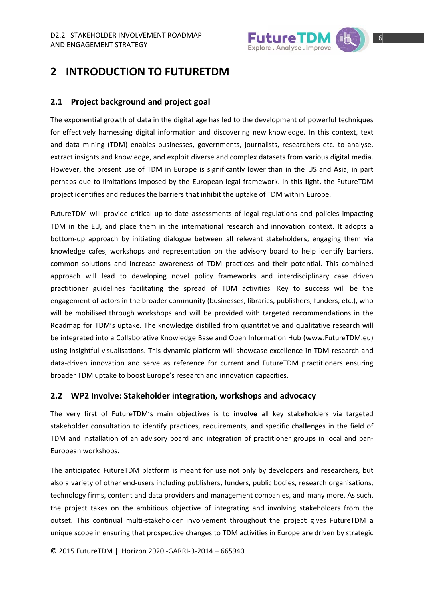

# 2 INTRODUCTION TO FUTURETDM

#### 2.1 Project background and project goal

The exponential growth of data in the digital age has led to the development of powerful techniques for effectively harnessing digital information and discovering new knowledge. In this context, text and data mining (TDM) enables businesses, governments, journalists, researchers etc. to analyse, extract insights and knowledge, and exploit diverse and complex datasets from various digital media. However, the present use of TDM in Europe is significantly lower than in the US and Asia, in part perhaps due to limitations imposed by the European legal framework. In this light, the FutureTDM project identifies and reduces the barriers that inhibit the uptake of TDM within Europe.

FutureTDM will provide critical up-to-date assessments of legal regulations and policies impacting TDM in the EU, and place them in the international research and innovation context. It adopts a bottom-up approach by initiating dialogue between all relevant stakeholders, engaging them via knowledge cafes, workshops and representation on the advisory board to help identify barriers, common solutions and increase awareness of TDM practices and their potential. This combined approach will lead to developing novel policy frameworks and interdisciplinary case driven practitioner guidelines facilitating the spread of TDM activities. Key to success will be the engagement of actors in the broader community (businesses, libraries, publishers, funders, etc.), who will be mobilised through workshops and will be provided with targeted recommendations in the Roadmap for TDM's uptake. The knowledge distilled from quantitative and qualitative research will be integrated into a Collaborative Knowledge Base and Open Information Hub (www.FutureTDM.eu) using insightful visualisations. This dynamic platform will showcase excellence in TDM research and data-driven innovation and serve as reference for current and FutureTDM practitioners ensuring broader TDM uptake to boost Europe's research and innovation capacities.

#### 2.2 WP2 Involve: Stakeholder integration, workshops and advocacy

The very first of FutureTDM's main objectives is to involve all key stakeholders via targeted stakeholder consultation to identify practices, requirements, and specific challenges in the field of TDM and installation of an advisory board and integration of practitioner groups in local and pan-European workshops.

The anticipated FutureTDM platform is meant for use not only by developers and researchers, but also a variety of other end-users including publishers, funders, public bodies, research organisations, technology firms, content and data providers and management companies, and many more. As such, the project takes on the ambitious objective of integrating and involving stakeholders from the outset. This continual multi-stakeholder involvement throughout the project gives FutureTDM a unique scope in ensuring that prospective changes to TDM activities in Europe are driven by strategic

© 2015 FutureTDM | Horizon 2020 - GARRI-3-2014 - 665940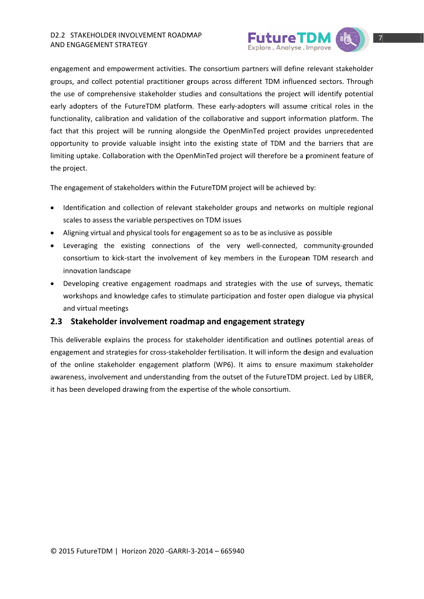

engagement and empowerment activities. The consortium partners will define relevant stakeholder groups, and collect potential practitioner groups across different TDM influenced sectors. Through the use of comprehensive stakeholder studies and consultations the project will identify potential early adopters of the FutureTDM platform. These early-adopters will assume critical roles in the functionality, calibration and validation of the collaborative and support information platform. The fact that this project will be running alongside the OpenMinTed project provides unprecedented opportunity to provide valuable insight into the existing state of TDM and the barriers that are limiting uptake. Collaboration with the OpenMinTed project will therefore be a prominent feature of the project.

The engagement of stakeholders within the FutureTDM project will be achieved by:

- Identification and collection of relevant stakeholder groups and networks on multiple regional scales to assess the variable perspectives on TDM issues
- Aligning virtual and physical tools for engagement so as to be as inclusive as possible
- Leveraging the existing connections of the very well-connected, community-grounded  $\bullet$ consortium to kick-start the involvement of key members in the European TDM research and innovation landscape
- Developing creative engagement roadmaps and strategies with the use of surveys, thematic workshops and knowledge cafes to stimulate participation and foster open dialogue via physical and virtual meetings

#### 2.3 Stakeholder involvement roadmap and engagement strategy

This deliverable explains the process for stakeholder identification and outlines potential areas of engagement and strategies for cross-stakeholder fertilisation. It will inform the design and evaluation of the online stakeholder engagement platform (WP6). It aims to ensure maximum stakeholder awareness, involvement and understanding from the outset of the FutureTDM project. Led by LIBER, it has been developed drawing from the expertise of the whole consortium.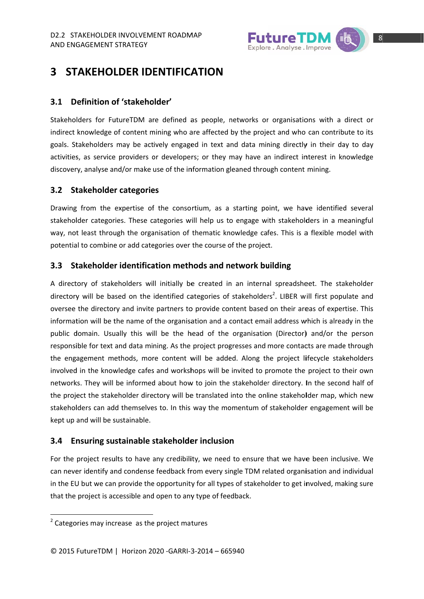

# **3 STAKEHOLDER IDENTIFICATION**

#### **3.1 D efinition o of 'stakeho older'**

Stakeholders for FutureTDM are defined as people, networks or organisations with a direct or indirect knowledge of content mining who are affected by the project and who can contribute to its goals. Stakeholders may be actively engaged in text and data mining directly in their day to day activities, as service providers or developers; or they may have an indirect interest in knowledge discovery, analyse and/or make use of the information gleaned through content mining.

#### **3.2 St takeholder r categorie es**

Drawing from the expertise of the consortium, as a starting point, we have identified several stakeholder categories. These categories will help us to engage with stakeholders in a meaningful way, not least through the organisation of thematic knowledge cafes. This is a flexible model with potential to combine or add categories over the course of the project.

#### **3.3 takeholder identification methods and network building**

A directory of stakeholders will initially be created in an internal spreadsheet. The stakeholder directory will be based on the identified categories of stakeholders<sup>2</sup>. LIBER will first populate and oversee the directory and invite partners to provide content based on their areas of expertise. This information will be the name of the organisation and a contact email address which is already in the public domain. Usually this will be the head of the organisation (Director) and/or the person responsible for text and data mining. As the project progresses and more contacts are made through the engagement methods, more content will be added. Along the project lifecycle stakeholders involved in the knowledge cafes and workshops will be invited to promote the project to their own networks. They will be informed about how to join the stakeholder directory. In the second half of the project the stakeholder directory will be translated into the online stakeholder map, which new stakeholders can add themselves to. In this way the momentum of stakeholder engagement will be kept up and will be s sustainable.

#### **3.4 En nsuring su stainable s stakeholde er inclusio n**

For the project results to have any credibility, we need to ensure that we have been inclusive. We can never identify and condense feedback from every single TDM related organisation and individual in the EU but we can provide the opportunity for all types of stakeholder to get involved, making sure that the project is accessible and open to any type of feedback.

 $2$  Categories may increase as the project matures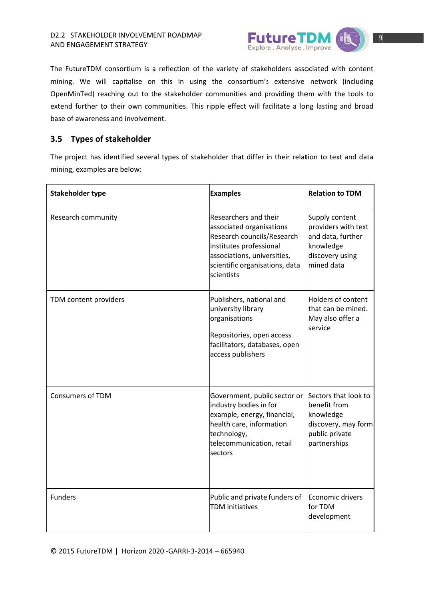

The FutureTDM consortium is a reflection of the variety of stakeholders associated with content mining. We will capitalise on this in using the consortium's extensive network (including OpenMinTed) reaching out to the stakeholder communities and providing them with the tools to extend further to their own communities. This ripple effect will facilitate a long lasting and broad base of awareness and involvement.

#### 3.5 Types of stakeholder

The project has identified several types of stakeholder that differ in their relation to text and data mining, examples are below:

| <b>Stakeholder type</b> | <b>Examples</b>                                                                                                                                                                           | <b>Relation to TDM</b>                                                                                     |  |  |
|-------------------------|-------------------------------------------------------------------------------------------------------------------------------------------------------------------------------------------|------------------------------------------------------------------------------------------------------------|--|--|
| Research community      | Researchers and their<br>associated organisations<br>Research councils/Research<br>institutes professional<br>associations, universities,<br>scientific organisations, data<br>scientists | Supply content<br>providers with text<br>and data, further<br>knowledge<br>discovery using<br>mined data   |  |  |
| TDM content providers   | Publishers, national and<br>university library<br>organisations<br>Repositories, open access<br>facilitators, databases, open<br>access publishers                                        | Holders of content<br>that can be mined.<br>May also offer a<br>service                                    |  |  |
| <b>Consumers of TDM</b> | Government, public sector or<br>industry bodies in for<br>example, energy, financial,<br>health care, information<br>technology,<br>telecommunication, retail<br>sectors                  | Sectors that look to<br>benefit from<br>knowledge<br>discovery, may form<br>public private<br>partnerships |  |  |
| <b>Funders</b>          | Public and private funders of<br><b>TDM</b> initiatives                                                                                                                                   | Economic drivers<br>for TDM<br>development                                                                 |  |  |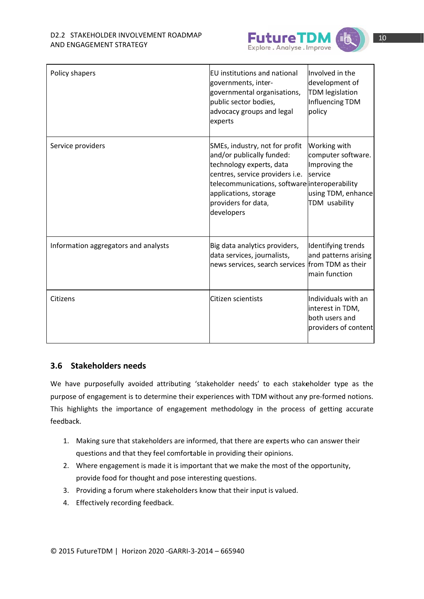

| Policy shapers                       | EU institutions and national<br>governments, inter-<br>governmental organisations,<br>public sector bodies,<br>advocacy groups and legal<br>experts                                                                                       | Involved in the<br>development of<br><b>TDM</b> legislation<br>Influencing TDM<br>policy              |
|--------------------------------------|-------------------------------------------------------------------------------------------------------------------------------------------------------------------------------------------------------------------------------------------|-------------------------------------------------------------------------------------------------------|
| Service providers                    | SMEs, industry, not for profit<br>and/or publically funded:<br>technology experts, data<br>centres, service providers i.e.<br>telecommunications, software interoperability<br>applications, storage<br>providers for data,<br>developers | Working with<br>computer software.<br>Improving the<br>service<br>using TDM, enhance<br>TDM usability |
| Information aggregators and analysts | Big data analytics providers,<br>data services, journalists,<br>news services, search services                                                                                                                                            | Identifying trends<br>and patterns arising<br>from TDM as their<br>main function                      |
| Citizens                             | Citizen scientists                                                                                                                                                                                                                        | lIndividuals with an<br>interest in TDM,<br>both users and<br>providers of content                    |

#### 3.6 Stakeholders needs

We have purposefully avoided attributing 'stakeholder needs' to each stakeholder type as the purpose of engagement is to determine their experiences with TDM without any pre-formed notions. This highlights the importance of engagement methodology in the process of getting accurate feedback.

- 1. Making sure that stakeholders are informed, that there are experts who can answer their questions and that they feel comfortable in providing their opinions.
- 2. Where engagement is made it is important that we make the most of the opportunity, provide food for thought and pose interesting questions.
- 3. Providing a forum where stakeholders know that their input is valued.
- 4. Effectively recording feedback.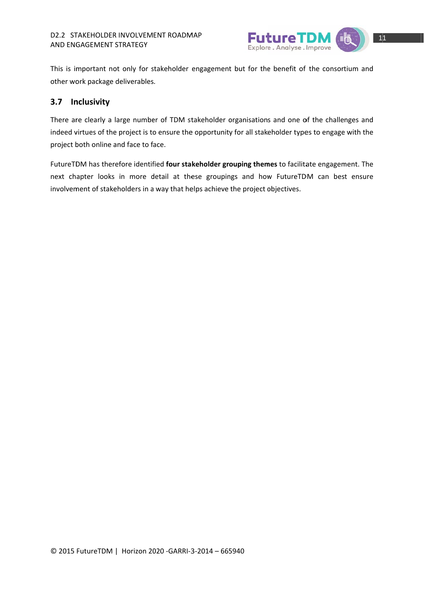

This is important not only for stakeholder engagement but for the benefit of the consortium and other work package deliverables.

#### 3.7 Inclusivity

There are clearly a large number of TDM stakeholder organisations and one of the challenges and indeed virtues of the project is to ensure the opportunity for all stakeholder types to engage with the project both online and face to face.

FutureTDM has therefore identified four stakeholder grouping themes to facilitate engagement. The next chapter looks in more detail at these groupings and how FutureTDM can best ensure involvement of stakeholders in a way that helps achieve the project objectives.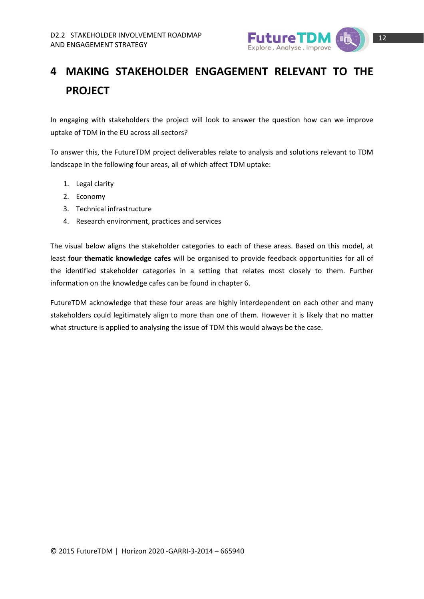

# **4 MAKING STAKEHOLDER ENGAGEMENT RELEVANT TO THE PROJECT**

In engaging with stakeholders the project will look to answer the question how can we improve uptake of TDM in the EU across all sectors?

To answer this, the FutureTDM project deliverables relate to analysis and solutions relevant to TDM landscape in the following four areas, all of which affect TDM uptake:

- 1. Legal clarity
- 2. Economy
- 3. Technical infrastructure
- 4. Research environment, practices and services

The visual below aligns the stakeholder categories to each of these areas. Based on this model, at least **four thematic knowledge cafes** will be organised to provide feedback opportunities for all of the identified stakeholder categories in a setting that relates most closely to them. Further information on the knowledge cafes can be found in chapter 6.

FutureTDM acknowledge that these four areas are highly interdependent on each other and many stakeholders could legitimately align to more than one of them. However it is likely that no matter what structure is applied to analysing the issue of TDM this would always be the case.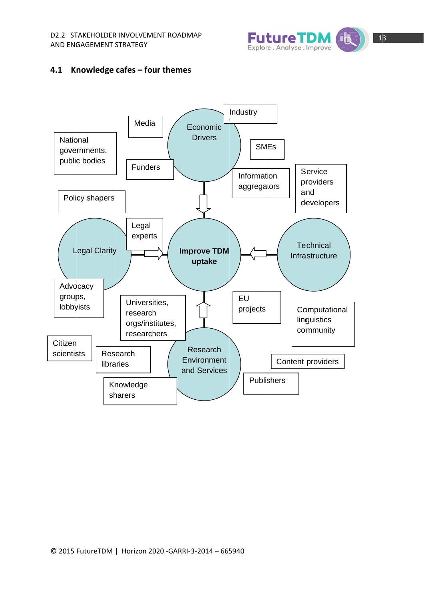

#### 4.1 Knowledge cafes - four themes

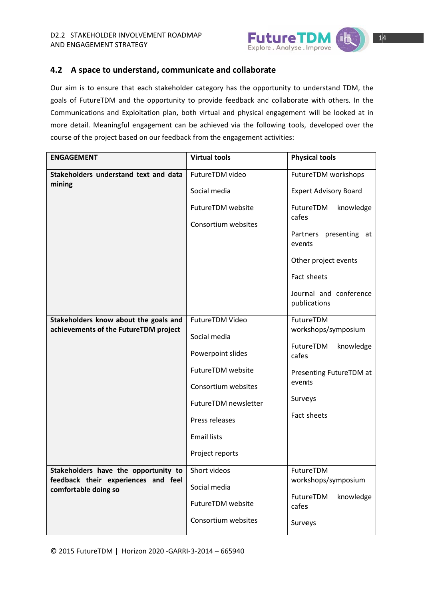

#### 4.2 A space to understand, communicate and collaborate

Our aim is to ensure that each stakeholder category has the opportunity to understand TDM, the goals of FutureTDM and the opportunity to provide feedback and collaborate with others. In the Communications and Exploitation plan, both virtual and physical engagement will be looked at in more detail. Meaningful engagement can be achieved via the following tools, developed over the course of the project based on our feedback from the engagement activities:

| <b>ENGAGEMENT</b>                                                           | <b>Virtual tools</b> | <b>Physical tools</b>                  |  |  |  |
|-----------------------------------------------------------------------------|----------------------|----------------------------------------|--|--|--|
| Stakeholders understand text and data<br>mining                             | FutureTDM video      | FutureTDM workshops                    |  |  |  |
|                                                                             | Social media         | <b>Expert Advisory Board</b>           |  |  |  |
|                                                                             | FutureTDM website    | FutureTDM<br>knowledge                 |  |  |  |
|                                                                             | Consortium websites  | cafes                                  |  |  |  |
|                                                                             |                      | Partners presenting<br>at<br>events    |  |  |  |
|                                                                             |                      | Other project events                   |  |  |  |
|                                                                             |                      | Fact sheets                            |  |  |  |
|                                                                             |                      | Journal and conference<br>publications |  |  |  |
| Stakeholders know about the goals and                                       | FutureTDM Video      | FutureTDM                              |  |  |  |
| achievements of the FutureTDM project                                       | Social media         | workshops/symposium                    |  |  |  |
|                                                                             | Powerpoint slides    | FutureTDM<br>knowledge<br>cafes        |  |  |  |
|                                                                             | FutureTDM website    | Presenting FutureTDM at                |  |  |  |
|                                                                             | Consortium websites  | events                                 |  |  |  |
|                                                                             | FutureTDM newsletter | Surveys                                |  |  |  |
|                                                                             | Press releases       | Fact sheets                            |  |  |  |
|                                                                             | <b>Email lists</b>   |                                        |  |  |  |
|                                                                             | Project reports      |                                        |  |  |  |
| Stakeholders have the opportunity to<br>feedback their experiences and feel | Short videos         | FutureTDM<br>workshops/symposium       |  |  |  |
| comfortable doing so                                                        | Social media         |                                        |  |  |  |
|                                                                             | FutureTDM website    | FutureTDM<br>knowledge<br>cafes        |  |  |  |
|                                                                             | Consortium websites  | Surveys                                |  |  |  |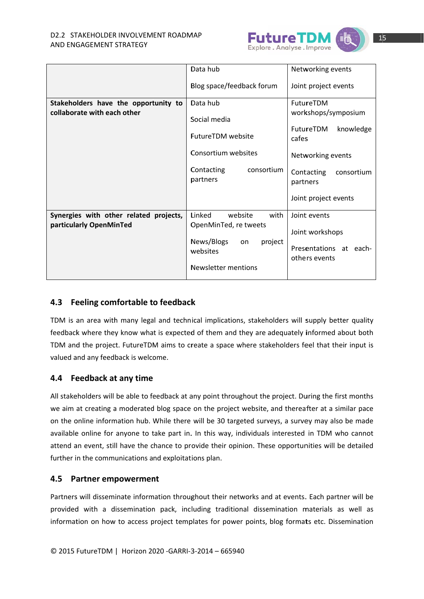

|                                                                     | Data hub                             | Networking events                    |
|---------------------------------------------------------------------|--------------------------------------|--------------------------------------|
|                                                                     | Blog space/feedback forum            | Joint project events                 |
| Stakeholders have the opportunity to<br>collaborate with each other | Data hub                             | FutureTDM                            |
|                                                                     | Social media                         | workshops/symposium                  |
|                                                                     | <b>FutureTDM</b> website             | knowledge<br>FutureTDM<br>cafes      |
|                                                                     | Consortium websites                  | Networking events                    |
|                                                                     | Contacting<br>consortium<br>partners | Contacting<br>consortium<br>partners |
|                                                                     |                                      | Joint project events                 |
| Synergies with other related projects,                              | Linked<br>website<br>with            | Joint events                         |
| particularly OpenMinTed                                             | OpenMinTed, re tweets                | Joint workshops                      |
|                                                                     | News/Blogs<br>project<br>on.         | Presentations at each-               |
|                                                                     | websites                             | others events                        |
|                                                                     | <b>Newsletter mentions</b>           |                                      |

#### 4.3 Feeling comfortable to feedback

TDM is an area with many legal and technical implications, stakeholders will supply better quality feedback where they know what is expected of them and they are adequately informed about both TDM and the project. FutureTDM aims to create a space where stakeholders feel that their input is valued and any feedback is welcome.

#### 4.4 Feedback at any time

All stakeholders will be able to feedback at any point throughout the project. During the first months we aim at creating a moderated blog space on the project website, and thereafter at a similar pace on the online information hub. While there will be 30 targeted surveys, a survey may also be made available online for anyone to take part in. In this way, individuals interested in TDM who cannot attend an event, still have the chance to provide their opinion. These opportunities will be detailed further in the communications and exploitations plan.

#### 4.5 Partner empowerment

Partners will disseminate information throughout their networks and at events. Each partner will be provided with a dissemination pack, including traditional dissemination materials as well as information on how to access project templates for power points, blog formats etc. Dissemination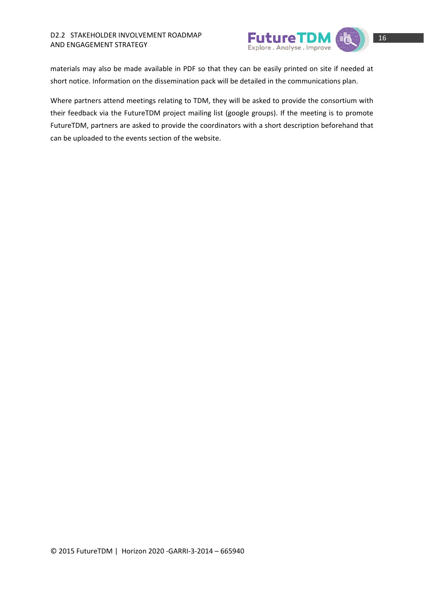

materials may also be made available in PDF so that they can be easily printed on site if needed at short notice. Information on the dissemination pack will be detailed in the communications plan.

Where partners attend meetings relating to TDM, they will be asked to provide the consortium with their feedback via the FutureTDM project mailing list (google groups). If the meeting is to promote FutureTDM, partners are asked to provide the coordinators with a short description beforehand that can be uploaded to the events section of the website.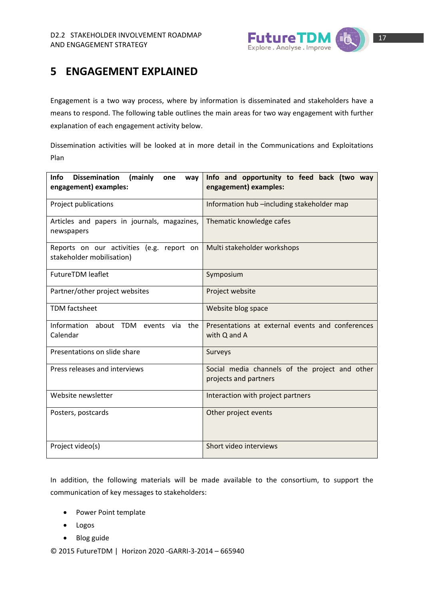

# **5 ENGAGEMENT EXPLAINED**

Engagement is a two way process, where by information is disseminated and stakeholders have a means to respond. The following table outlines the main areas for two way engagement with further explanation of each engagement activity below.

Dissemination activities will be looked at in more detail in the Communications and Exploitations Plan

| <b>Dissemination</b><br><b>Info</b><br>(mainly<br>one<br>way<br>engagement) examples: | Info and opportunity to feed back (two way<br>engagement) examples:     |  |  |  |  |  |  |
|---------------------------------------------------------------------------------------|-------------------------------------------------------------------------|--|--|--|--|--|--|
| Project publications                                                                  | Information hub -including stakeholder map                              |  |  |  |  |  |  |
| Articles and papers in journals, magazines,<br>newspapers                             | Thematic knowledge cafes                                                |  |  |  |  |  |  |
| Reports on our activities (e.g. report on<br>stakeholder mobilisation)                | Multi stakeholder workshops                                             |  |  |  |  |  |  |
| <b>FutureTDM leaflet</b>                                                              | Symposium                                                               |  |  |  |  |  |  |
| Partner/other project websites                                                        | Project website                                                         |  |  |  |  |  |  |
| <b>TDM</b> factsheet                                                                  | Website blog space                                                      |  |  |  |  |  |  |
| Information<br>about TDM<br>the<br>events<br>via<br>Calendar                          | Presentations at external events and conferences<br>with Q and A        |  |  |  |  |  |  |
| Presentations on slide share                                                          | <b>Surveys</b>                                                          |  |  |  |  |  |  |
| Press releases and interviews                                                         | Social media channels of the project and other<br>projects and partners |  |  |  |  |  |  |
| Website newsletter                                                                    | Interaction with project partners                                       |  |  |  |  |  |  |
| Posters, postcards                                                                    | Other project events                                                    |  |  |  |  |  |  |
| Project video(s)                                                                      | Short video interviews                                                  |  |  |  |  |  |  |

In addition, the following materials will be made available to the consortium, to support the communication of key messages to stakeholders:

- Power Point template
- Logos
- Blog guide

© 2015 FutureTDM | Horizon 2020 ‐GARRI‐3‐2014 – 665940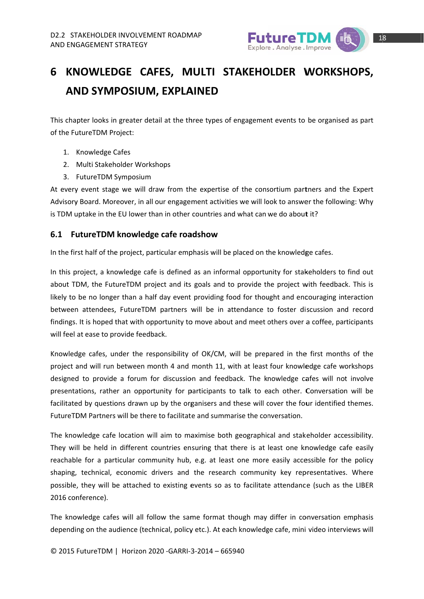

# **6** KNOWLEDGE CAFES, MULTI STAKEHOLDER WORKSHOPS, **AN ND SYM POSIUM M, EXPLA AINED**

This chapter looks in greater detail at the three types of engagement events to be organised as part of the FutureTDM Project:

- 1. Knowledge C Cafes
- 2. Multi Stakeholder Workshops
- 3. FutureTDM S Symposium

At every event stage we will draw from the expertise of the consortium partners and the Expert Advisory Board. Moreover, in all our engagement activities we will look to answer the following: Why is TDM uptake in the EU lower than in other countries and what can we do about it?

#### **6.1 Fu utureTDM knowledg ge cafe roa adshow**

In the first half of the project, particular emphasis will be placed on the knowledge cafes.

In this project, a knowledge cafe is defined as an informal opportunity for stakeholders to find out about TDM, the FutureTDM project and its goals and to provide the project with feedback. This is likely to be no longer than a half day event providing food for thought and encouraging interaction between attendees, FutureTDM partners will be in attendance to foster discussion and record findings. It is hoped that with opportunity to move about and meet others over a coffee, participants will feel at ease to provide feedback.

Knowledge cafes, under the responsibility of OK/CM, will be prepared in the first months of the project and will run between month 4 and month 11, with at least four knowledge cafe workshops designed to provide a forum for discussion and feedback. The knowledge cafes will not involve presentations, rather an opportunity for participants to talk to each other. Conversation will be facilitated by questions drawn up by the organisers and these will cover the four identified themes. FutureTDM Partners will be there to facilitate and summarise the conversation.

The knowledge cafe location will aim to maximise both geographical and stakeholder accessibility. They will be held in different countries ensuring that there is at least one knowledge cafe easily reachable for a particular community hub, e.g. at least one more easily accessible for the policy shaping, technical, economic drivers and the research community key representatives. Where possible, they will be attached to existing events so as to facilitate attendance (such as the LIBER 2016 conference).

The knowledge cafes will all follow the same format though may differ in conversation emphasis depending on the audience (technical, policy etc.). At each knowledge cafe, mini video interviews will

© 2015 FutureTDM | Horizon 20 020 ‐GARRI‐3 3‐2014 – 665 5940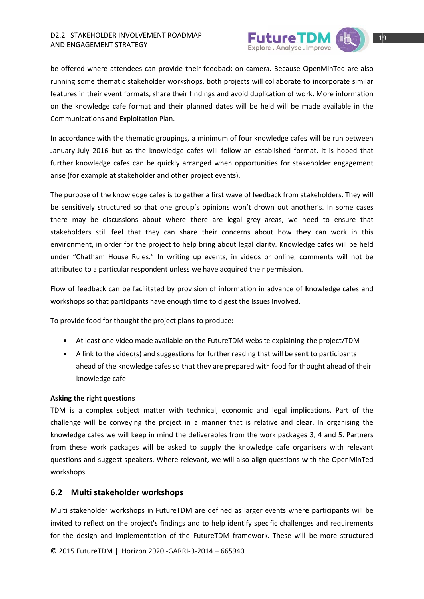

be offered where attendees can provide their feedback on camera. Because OpenMinTed are also running some thematic stakeholder workshops, both projects will collaborate to incorporate similar features in their event formats, share their findings and avoid duplication of work. More information on the knowledge cafe format and their planned dates will be held will be made available in the Communications and Exploitation Plan.

In accordance with the thematic groupings, a minimum of four knowledge cafes will be run between January-July 2016 but as the knowledge cafes will follow an established format, it is hoped that further knowledge cafes can be quickly arranged when opportunities for stakeholder engagement arise (for example at stakeholder and other project events).

The purpose of the knowledge cafes is to gather a first wave of feedback from stakeholders. They will be sensitively structured so that one group's opinions won't drown out another's. In some cases there may be discussions about where there are legal grey areas, we need to ensure that stakeholders still feel that they can share their concerns about how they can work in this environment, in order for the project to help bring about legal clarity. Knowledge cafes will be held under "Chatham House Rules." In writing up events, in videos or online, comments will not be attributed to a particular respondent unless we have acquired their permission.

Flow of feedback can be facilitated by provision of information in advance of knowledge cafes and workshops so that participants have enough time to digest the issues involved.

To provide food for thought the project plans to produce:

- At least one video made available on the FutureTDM website explaining the project/TDM
- A link to the video(s) and suggestions for further reading that will be sent to participants ahead of the knowledge cafes so that they are prepared with food for thought ahead of their knowledge c cafe

#### **Asking t he right que estions**

TDM is a complex subject matter with technical, economic and legal implications. Part of the challenge will be conveying the project in a manner that is relative and clear. In organising the knowledge cafes we will keep in mind the deliverables from the work packages 3, 4 and 5. Partners from these work packages will be asked to supply the knowledge cafe organisers with relevant questions and suggest speakers. Where relevant, we will also align questions with the OpenMinTed workshops.

#### **6.2 M Multi stake holder wo rkshops**

Multi stakeholder workshops in FutureTDM are defined as larger events where participants will be invited to reflect on the project's findings and to help identify specific challenges and requirements for the design and implementation of the FutureTDM framework. These will be more structured

© 2015 FutureTDM | Horizon 20 020 ‐GARRI‐3 3‐2014 – 665 5940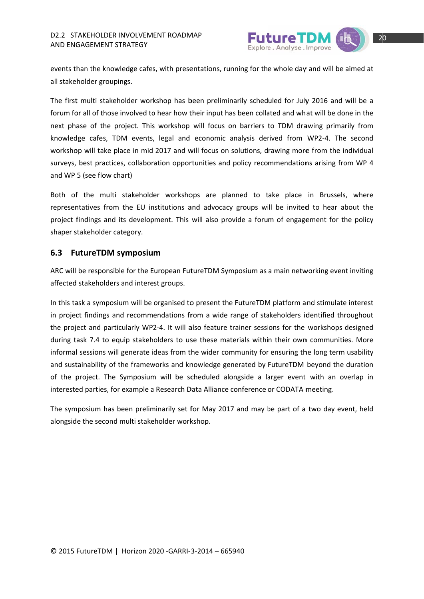

events than the knowledge cafes, with presentations, running for the whole day and will be aimed at all stakeholder groupings.

The first multi stakeholder workshop has been preliminarily scheduled for July 2016 and will be a forum for all of those involved to hear how their input has been collated and what will be done in the next phase of the project. This workshop will focus on barriers to TDM drawing primarily from knowledge cafes, TDM events, legal and economic analysis derived from WP2-4. The second workshop will take place in mid 2017 and will focus on solutions, drawing more from the individual surveys, best practices, collaboration opportunities and policy recommendations arising from WP 4 and WP 5 (see flow chart)

Both of the multi stakeholder workshops are planned to take place in Brussels, where representatives from the EU institutions and advocacy groups will be invited to hear about the project findings and its development. This will also provide a forum of engagement for the policy shaper stakeholder category.

#### 6.3 FutureTDM symposium

ARC will be responsible for the European FutureTDM Symposium as a main networking event inviting affected stakeholders and interest groups.

In this task a symposium will be organised to present the FutureTDM platform and stimulate interest in project findings and recommendations from a wide range of stakeholders identified throughout the project and particularly WP2-4. It will also feature trainer sessions for the workshops designed during task 7.4 to equip stakeholders to use these materials within their own communities. More informal sessions will generate ideas from the wider community for ensuring the long term usability and sustainability of the frameworks and knowledge generated by FutureTDM beyond the duration of the project. The Symposium will be scheduled alongside a larger event with an overlap in interested parties, for example a Research Data Alliance conference or CODATA meeting.

The symposium has been preliminarily set for May 2017 and may be part of a two day event, held alongside the second multi stakeholder workshop.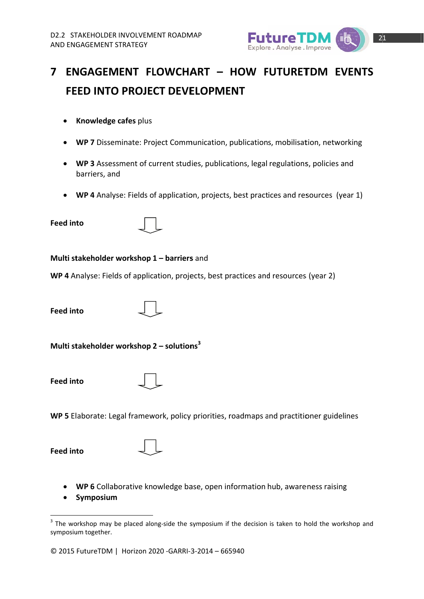

# 7 ENGAGEMENT FLOWCHART - HOW FUTURETDM EVENTS FEED INTO PROJECT DEVELOPMENT

- Knowledge cafes plus
- WP 7 Disseminate: Project Communication, publications, mobilisation, networking
- WP 3 Assessment of current studies, publications, legal regulations, policies and barriers, and
- WP 4 Analyse: Fields of application, projects, best practices and resources (year 1)  $\bullet$
- **Feed into**



#### Multi stakeholder workshop 1 - barriers and

WP 4 Analyse: Fields of application, projects, best practices and resources (year 2)

**Feed into** 



Multi stakeholder workshop  $2$  – solutions<sup>3</sup>

**Feed into** 



WP 5 Elaborate: Legal framework, policy priorities, roadmaps and practitioner guidelines

**Feed into** 

|  | ٧<br>٧<br>٠ |  |
|--|-------------|--|

- WP 6 Collaborative knowledge base, open information hub, awareness raising
- Symposium  $\bullet$

© 2015 FutureTDM | Horizon 2020 - GARRI-3-2014 - 665940

<sup>&</sup>lt;sup>3</sup> The workshop may be placed along-side the symposium if the decision is taken to hold the workshop and symposium together.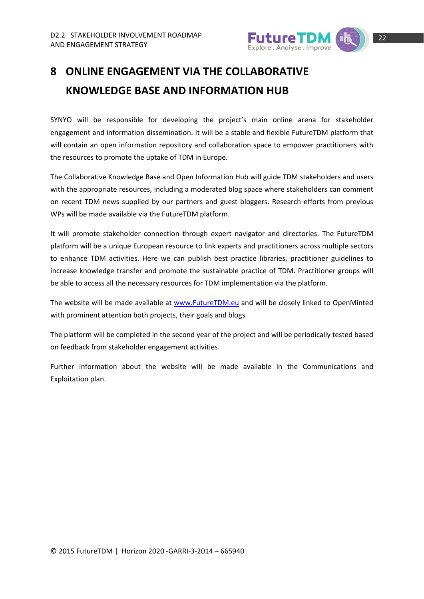

# **8 ONLINE ENGAGEMENT VIA THE COLLABORATIVE KNOWLEDGE BASE AND INFORMATION HUB**

SYNYO will be responsible for developing the project's main online arena for stakeholder engagement and information dissemination. It will be a stable and flexible FutureTDM platform that will contain an open information repository and collaboration space to empower practitioners with the resources to promote the uptake of TDM in Europe.

The Collaborative Knowledge Base and Open Information Hub will guide TDM stakeholders and users with the appropriate resources, including a moderated blog space where stakeholders can comment on recent TDM news supplied by our partners and guest bloggers. Research efforts from previous WPs will be made available via the FutureTDM platform.

It will promote stakeholder connection through expert navigator and directories. The FutureTDM platform will be a unique European resource to link experts and practitioners across multiple sectors to enhance TDM activities. Here we can publish best practice libraries, practitioner guidelines to increase knowledge transfer and promote the sustainable practice of TDM. Practitioner groups will be able to access all the necessary resources for TDM implementation via the platform.

The website will be made available at www.FutureTDM.eu and will be closely linked to OpenMinted with prominent attention both projects, their goals and blogs.

The platform will be completed in the second year of the project and will be periodically tested based on feedback from stakeholder engagement activities.

Further information about the website will be made available in the Communications and Exploitation plan.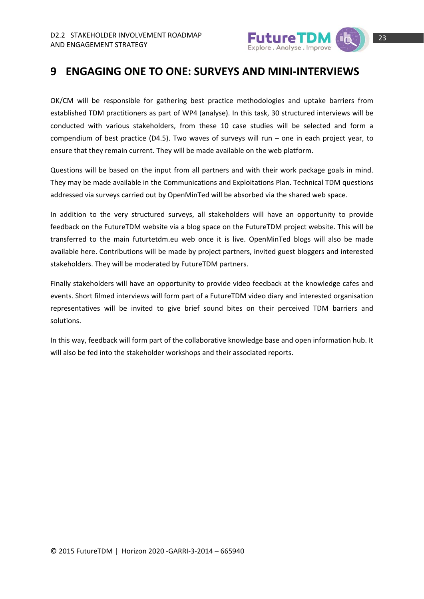

## **9 ENGAGING ONE TO ONE: SURVEYS AND MINI‐INTERVIEWS**

OK/CM will be responsible for gathering best practice methodologies and uptake barriers from established TDM practitioners as part of WP4 (analyse). In this task, 30 structured interviews will be conducted with various stakeholders, from these 10 case studies will be selected and form a compendium of best practice (D4.5). Two waves of surveys will run – one in each project year, to ensure that they remain current. They will be made available on the web platform.

Questions will be based on the input from all partners and with their work package goals in mind. They may be made available in the Communications and Exploitations Plan. Technical TDM questions addressed via surveys carried out by OpenMinTed will be absorbed via the shared web space.

In addition to the very structured surveys, all stakeholders will have an opportunity to provide feedback on the FutureTDM website via a blog space on the FutureTDM project website. This will be transferred to the main futurtetdm.eu web once it is live. OpenMinTed blogs will also be made available here. Contributions will be made by project partners, invited guest bloggers and interested stakeholders. They will be moderated by FutureTDM partners.

Finally stakeholders will have an opportunity to provide video feedback at the knowledge cafes and events. Short filmed interviews will form part of a FutureTDM video diary and interested organisation representatives will be invited to give brief sound bites on their perceived TDM barriers and solutions.

In this way, feedback will form part of the collaborative knowledge base and open information hub. It will also be fed into the stakeholder workshops and their associated reports.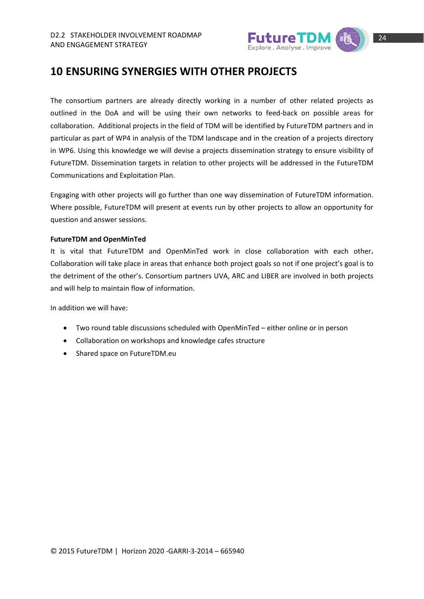

### **10 ENSURING SYNERGIES WITH OTHER PROJECTS**

The consortium partners are already directly working in a number of other related projects as outlined in the DoA and will be using their own networks to feed‐back on possible areas for collaboration. Additional projects in the field of TDM will be identified by FutureTDM partners and in particular as part of WP4 in analysis of the TDM landscape and in the creation of a projects directory in WP6. Using this knowledge we will devise a projects dissemination strategy to ensure visibility of FutureTDM. Dissemination targets in relation to other projects will be addressed in the FutureTDM Communications and Exploitation Plan.

Engaging with other projects will go further than one way dissemination of FutureTDM information. Where possible, FutureTDM will present at events run by other projects to allow an opportunity for question and answer sessions.

#### **FutureTDM and OpenMinTed**

It is vital that FutureTDM and OpenMinTed work in close collaboration with each other**.** Collaboration will take place in areas that enhance both project goals so not if one project's goal is to the detriment of the other's. Consortium partners UVA, ARC and LIBER are involved in both projects and will help to maintain flow of information.

In addition we will have:

- Two round table discussions scheduled with OpenMinTed either online or in person
- Collaboration on workshops and knowledge cafes structure
- Shared space on FutureTDM.eu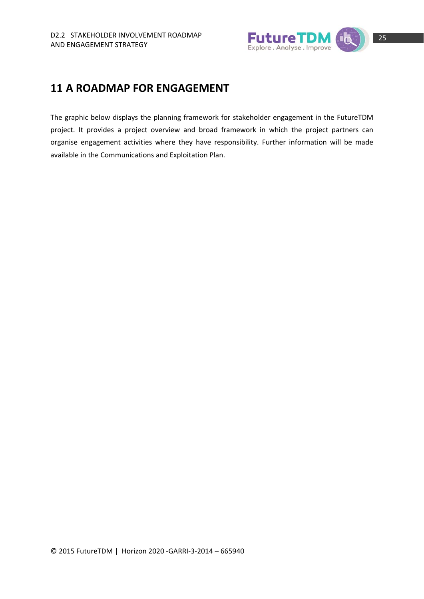

### **11 A ROADMAP FOR ENGAGEMENT**

The graphic below displays the planning framework for stakeholder engagement in the FutureTDM project. It provides a project overview and broad framework in which the project partners can organise engagement activities where they have responsibility. Further information will be made available in the Communications and Exploitation Plan.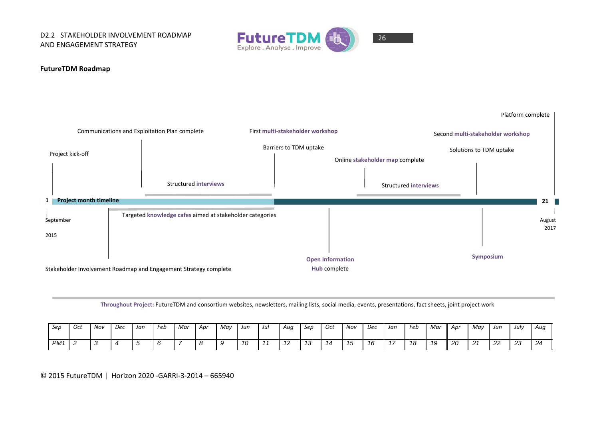D2.2 STAKEHOLDER INVOLVEMENT ROADMAP AND ENGAGEMENT STRATEGY



# 26

#### **FutureTDM Roadmap**



**Throughout Project:** FutureTDM and consortium websites, newsletters, mailing lists, social media, events, presentations, fact sheets, joint project work

| Sep             | Oct | Nov | Dec | Jan | Feb | Mar | Apr | May | Jun                            | Jul | Aug                            | Sep              | Oct | Nov | Dec | Jan | Feb | Mar | . Apr | May            | Jun | July            | Aug |
|-----------------|-----|-----|-----|-----|-----|-----|-----|-----|--------------------------------|-----|--------------------------------|------------------|-----|-----|-----|-----|-----|-----|-------|----------------|-----|-----------------|-----|
| PM <sub>1</sub> |     |     |     |     |     |     |     |     | $\overline{\phantom{a}}$<br>10 |     | $\overline{\phantom{a}}$<br>14 | $\sqrt{2}$<br>ں، |     | ں ر | 16  |     | 18  | 19  | 20    | 21<br><u>_</u> | 22  | $\Omega$<br>ں ے | 24  |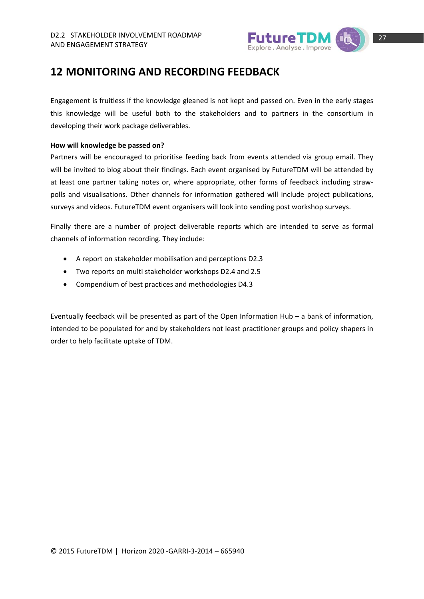

### **12 MONITORING AND RECORDING FEEDBACK**

Engagement is fruitless if the knowledge gleaned is not kept and passed on. Even in the early stages this knowledge will be useful both to the stakeholders and to partners in the consortium in developing their work package deliverables.

#### **How will knowledge be passed on?**

Partners will be encouraged to prioritise feeding back from events attended via group email. They will be invited to blog about their findings. Each event organised by FutureTDM will be attended by at least one partner taking notes or, where appropriate, other forms of feedback including straw‐ polls and visualisations. Other channels for information gathered will include project publications, surveys and videos. FutureTDM event organisers will look into sending post workshop surveys.

Finally there are a number of project deliverable reports which are intended to serve as formal channels of information recording. They include:

- A report on stakeholder mobilisation and perceptions D2.3
- Two reports on multi stakeholder workshops D2.4 and 2.5
- Compendium of best practices and methodologies D4.3

Eventually feedback will be presented as part of the Open Information Hub – a bank of information, intended to be populated for and by stakeholders not least practitioner groups and policy shapers in order to help facilitate uptake of TDM.